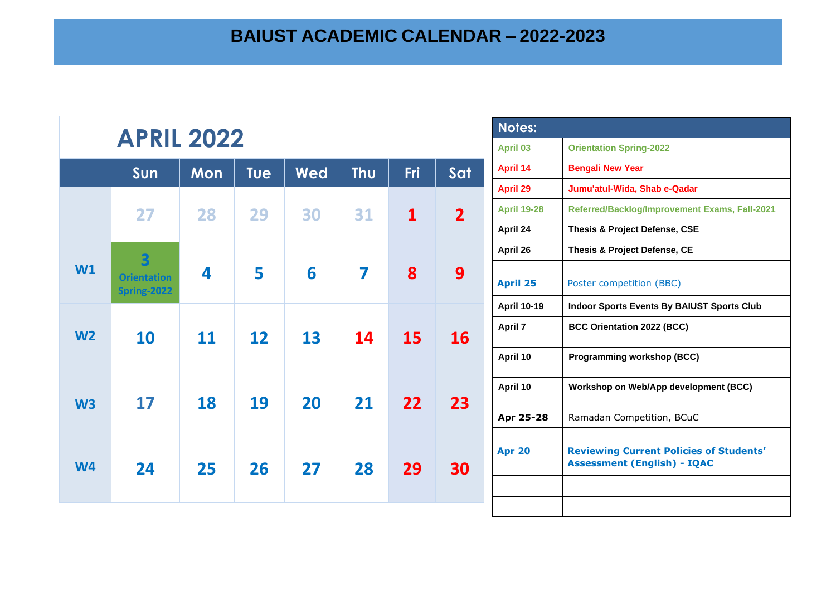|                | <b>APRIL 2022</b>                                                  |                         |           |          | <b>Notes:</b>           |              |                |                    |                                                                                      |
|----------------|--------------------------------------------------------------------|-------------------------|-----------|----------|-------------------------|--------------|----------------|--------------------|--------------------------------------------------------------------------------------|
|                |                                                                    |                         |           |          |                         |              |                | April 03           | <b>Orientation Spring-2022</b>                                                       |
|                | <b>Thu</b><br>Fri<br><b>Wed</b><br>Sun<br><b>Mon</b><br><b>Tue</b> |                         | Sat       | April 14 | <b>Bengali New Year</b> |              |                |                    |                                                                                      |
|                |                                                                    |                         |           |          |                         |              |                | April 29           | Jumu'atul-Wida, Shab e-Qadar                                                         |
|                | 27                                                                 | 28                      | 29        | 30       | 31                      | $\mathbf{1}$ | $\overline{2}$ | <b>April 19-28</b> | Referred/Backlog/Improvement Exams, Fall-2021                                        |
|                |                                                                    |                         |           |          |                         |              |                | April 24           | <b>Thesis &amp; Project Defense, CSE</b>                                             |
|                | $\overline{\mathbf{3}}$                                            |                         |           |          |                         |              |                | April 26           | Thesis & Project Defense, CE                                                         |
| W1             | <b>Orientation</b><br><b>Spring-2022</b>                           | $\overline{\mathbf{A}}$ | 5         | 6        | 7                       | 8            | 9              | <b>April 25</b>    | Poster competition (BBC)                                                             |
|                |                                                                    |                         |           |          |                         |              |                | <b>April 10-19</b> | <b>Indoor Sports Events By BAIUST Sports Club</b>                                    |
| W <sub>2</sub> | <b>10</b>                                                          | 11                      | <b>12</b> | 13       | 14                      | 15           | <b>16</b>      | April 7            | <b>BCC Orientation 2022 (BCC)</b>                                                    |
|                |                                                                    |                         |           |          |                         |              |                | April 10           | <b>Programming workshop (BCC)</b>                                                    |
| W <sub>3</sub> | 17                                                                 | 18                      | 19        | 20       | 21                      | 22           | 23             | April 10           | Workshop on Web/App development (BCC)                                                |
|                |                                                                    |                         |           |          |                         |              |                | Apr 25-28          | Ramadan Competition, BCuC                                                            |
| W <sub>4</sub> | 24                                                                 | 25                      | 26        | 27       | 28                      | 29           | 30             | <b>Apr 20</b>      | <b>Reviewing Current Policies of Students'</b><br><b>Assessment (English) - IQAC</b> |
|                |                                                                    |                         |           |          |                         |              |                |                    |                                                                                      |
|                |                                                                    |                         |           |          |                         |              |                |                    |                                                                                      |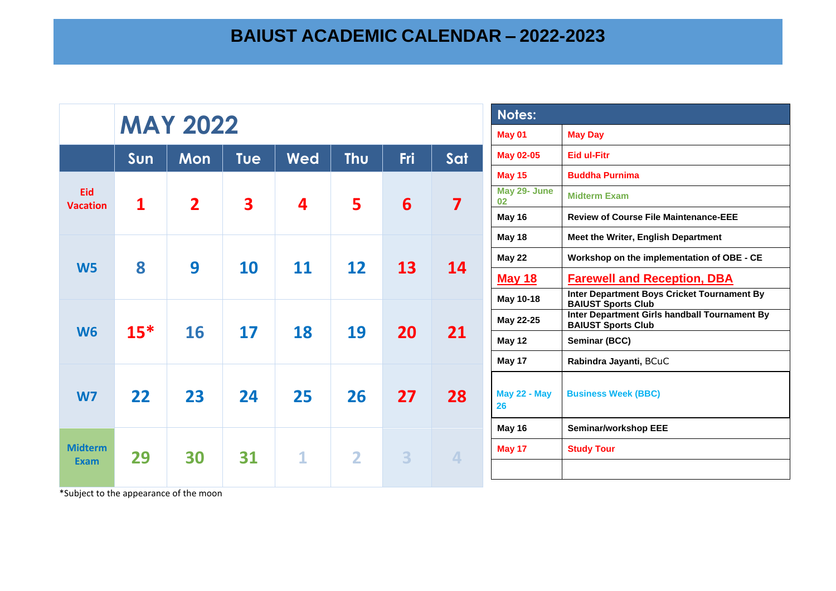|                        |             | <b>MAY 2022</b>                                                                               |            |                         |                                    | <b>Notes:</b>       |                      |                           |                                                                            |
|------------------------|-------------|-----------------------------------------------------------------------------------------------|------------|-------------------------|------------------------------------|---------------------|----------------------|---------------------------|----------------------------------------------------------------------------|
|                        |             |                                                                                               |            |                         |                                    |                     |                      | <b>May 01</b>             | <b>May Day</b>                                                             |
|                        | Sun         | <b>Mon</b>                                                                                    | <b>Tue</b> | <b>Wed</b>              | <b>Thu</b>                         | Fri                 | Sat                  | <b>May 02-05</b>          | <b>Eid ul-Fitr</b>                                                         |
|                        |             |                                                                                               |            |                         |                                    |                     |                      | <b>May 15</b>             | <b>Buddha Purnima</b>                                                      |
| Eid<br><b>Vacation</b> | $\mathbf 1$ | $\overline{\mathbf{3}}$<br>$6 \overline{6}$<br>$\overline{2}$<br>5<br>$\overline{\mathbf{4}}$ |            | $\overline{\mathbf{z}}$ | May 29- June<br>02                 | <b>Midterm Exam</b> |                      |                           |                                                                            |
|                        |             |                                                                                               |            |                         |                                    |                     |                      | May 16                    | <b>Review of Course File Maintenance-EEE</b>                               |
|                        |             |                                                                                               |            |                         |                                    |                     |                      | May 18                    | Meet the Writer, English Department                                        |
| W <sub>5</sub>         | 8           | 9                                                                                             | <b>10</b>  | <b>11</b>               | 12                                 | 13                  | 14                   | <b>May 22</b>             | Workshop on the implementation of OBE - CE                                 |
|                        |             |                                                                                               |            | <b>May 18</b>           | <b>Farewell and Reception, DBA</b> |                     |                      |                           |                                                                            |
|                        |             |                                                                                               |            |                         |                                    |                     |                      | May 10-18                 | Inter Department Boys Cricket Tournament By<br><b>BAIUST Sports Club</b>   |
|                        |             |                                                                                               |            |                         |                                    |                     |                      | May 22-25                 | Inter Department Girls handball Tournament By<br><b>BAIUST Sports Club</b> |
| <b>W6</b>              | $15*$       | 16                                                                                            | 17         | 18                      | 19                                 | 20                  | 21                   | May 12                    | Seminar (BCC)                                                              |
|                        |             |                                                                                               |            |                         |                                    |                     |                      | May 17                    | Rabindra Jayanti, BCuC                                                     |
| <b>W7</b>              | 22          | 23                                                                                            | 24         | 25                      | 26                                 | 27                  | 28                   | <b>May 22 - May</b><br>26 | <b>Business Week (BBC)</b>                                                 |
|                        |             |                                                                                               |            |                         |                                    |                     |                      | May 16                    | Seminar/workshop EEE                                                       |
| <b>Midterm</b>         | 29          | 30                                                                                            | 31         | $\mathbf{1}$            | $\overline{2}$                     | 3                   | $\blacktriangleleft$ | <b>May 17</b>             | <b>Study Tour</b>                                                          |
| <b>Exam</b>            |             |                                                                                               |            |                         |                                    |                     |                      |                           |                                                                            |

\*Subject to the appearance of the moon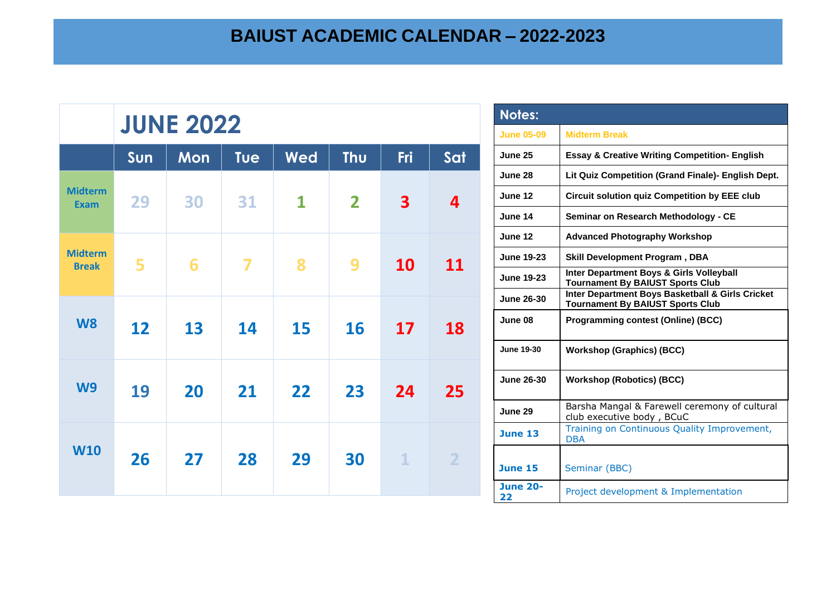|                                | <b>JUNE 2022</b> |     |     |              |                         |              |                         |  |
|--------------------------------|------------------|-----|-----|--------------|-------------------------|--------------|-------------------------|--|
|                                | Sun              | Mon | Tue | Wed          | <b>Thu</b>              | Fri          | Sat                     |  |
| <b>Midterm</b><br><b>Exam</b>  | 29               | 30  | 31  | $\mathbf{1}$ | $\overline{\mathbf{2}}$ | 3            | $\overline{\mathbf{4}}$ |  |
| <b>Midterm</b><br><b>Break</b> | 5                | 6   | 7   | 8            | 9                       | 10           | 11                      |  |
| <b>W8</b>                      | 12               | 13  | 14  | 15           | 16                      | 17           | 18                      |  |
| W <sub>9</sub>                 | 19               | 20  | 21  | 22           | 23                      | 24           | 25                      |  |
| <b>W10</b>                     | 26               | 27  | 28  | 29           | 30                      | $\mathbf{1}$ | $\overline{2}$          |  |

 $\sqrt{2}$ 

| <b>Notes:</b>         |                                                                                             |
|-----------------------|---------------------------------------------------------------------------------------------|
| <b>June 05-09</b>     | <b>Midterm Break</b>                                                                        |
| June 25               | <b>Essay &amp; Creative Writing Competition- English</b>                                    |
| June 28               | Lit Quiz Competition (Grand Finale)- English Dept.                                          |
| June 12               | <b>Circuit solution quiz Competition by EEE club</b>                                        |
| June 14               | Seminar on Research Methodology - CE                                                        |
| June 12               | <b>Advanced Photography Workshop</b>                                                        |
| <b>June 19-23</b>     | <b>Skill Development Program, DBA</b>                                                       |
| <b>June 19-23</b>     | Inter Department Boys & Girls Volleyball<br><b>Tournament By BAIUST Sports Club</b>         |
| <b>June 26-30</b>     | Inter Department Boys Basketball & Girls Cricket<br><b>Tournament By BAIUST Sports Club</b> |
| June 08               | <b>Programming contest (Online) (BCC)</b>                                                   |
| <b>June 19-30</b>     | <b>Workshop (Graphics) (BCC)</b>                                                            |
| <b>June 26-30</b>     | <b>Workshop (Robotics) (BCC)</b>                                                            |
| June 29               | Barsha Mangal & Farewell ceremony of cultural<br>club executive body, BCuC                  |
| <b>June 13</b>        | Training on Continuous Quality Improvement,<br><b>DBA</b>                                   |
| <b>June 15</b>        | Seminar (BBC)                                                                               |
| <b>June 20-</b><br>22 | Project development & Implementation                                                        |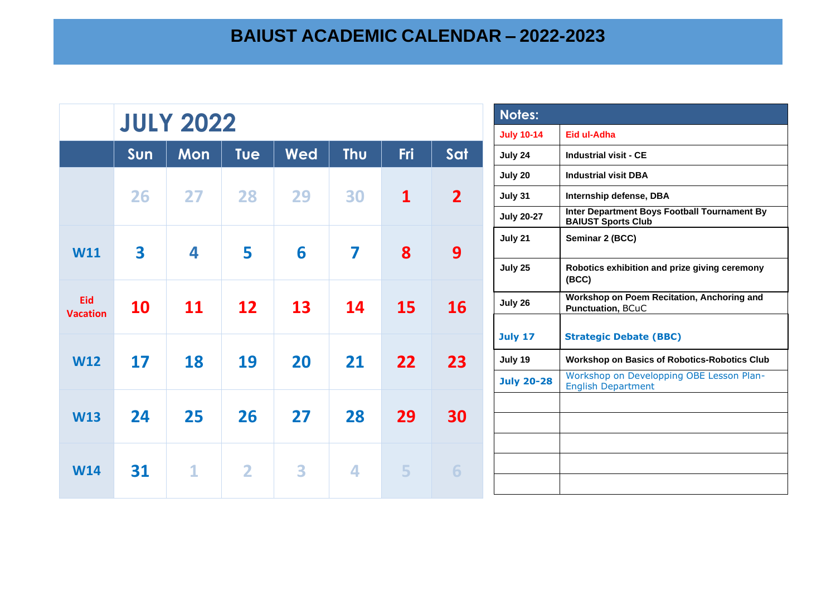|                        |                         | <b>JULY 2022</b> |                   |     |            | <b>Notes:</b>     |                |                   |                                                                           |
|------------------------|-------------------------|------------------|-------------------|-----|------------|-------------------|----------------|-------------------|---------------------------------------------------------------------------|
|                        |                         |                  |                   |     |            |                   |                | <b>July 10-14</b> | Eid ul-Adha                                                               |
|                        | Sun                     | <b>Mon</b>       | <b>Tue</b>        | Wed | <b>Thu</b> | Fri               | Sat            | July 24           | <b>Industrial visit - CE</b>                                              |
|                        |                         |                  |                   |     |            |                   |                | July 20           | <b>Industrial visit DBA</b>                                               |
|                        | 26                      | 27               | 28                | 29  | 30         | $\mathbf{1}$      | $\overline{2}$ | July 31           | Internship defense, DBA                                                   |
|                        |                         |                  |                   |     |            |                   |                | <b>July 20-27</b> | Inter Department Boys Football Tournament By<br><b>BAIUST Sports Club</b> |
| <b>W11</b>             | $\overline{\mathbf{3}}$ | 4                | 5                 | 6   | 7          | 8                 | 9              | July 21           | Seminar 2 (BCC)                                                           |
|                        |                         |                  |                   |     |            |                   |                | July 25           | Robotics exhibition and prize giving ceremony<br>(BCC)                    |
| Eid<br><b>Vacation</b> | <b>10</b>               | <b>11</b>        | $12 \overline{ }$ | 13  | 14         | 15                | 16             | July 26           | Workshop on Poem Recitation, Anchoring and<br><b>Punctuation, BCuC</b>    |
|                        |                         |                  |                   |     |            |                   |                | <b>July 17</b>    | <b>Strategic Debate (BBC)</b>                                             |
| <b>W12</b>             | 17                      | 18               | 19                | 20  | 21         | $22 \overline{)}$ | 23             | July 19           | <b>Workshop on Basics of Robotics-Robotics Club</b>                       |
|                        |                         |                  |                   |     |            |                   |                | <b>July 20-28</b> | Workshop on Developping OBE Lesson Plan-<br><b>English Department</b>     |
|                        |                         |                  |                   |     |            |                   |                |                   |                                                                           |
| <b>W13</b>             | 24                      | 25               | 26                | 27  | 28         | 29                | 30             |                   |                                                                           |
|                        |                         |                  |                   |     |            |                   |                |                   |                                                                           |
| <b>W14</b>             | 31                      | $\mathbf{1}$     | $\overline{2}$    | 3   | 4          | 5                 | 6              |                   |                                                                           |
|                        |                         |                  |                   |     |            |                   |                |                   |                                                                           |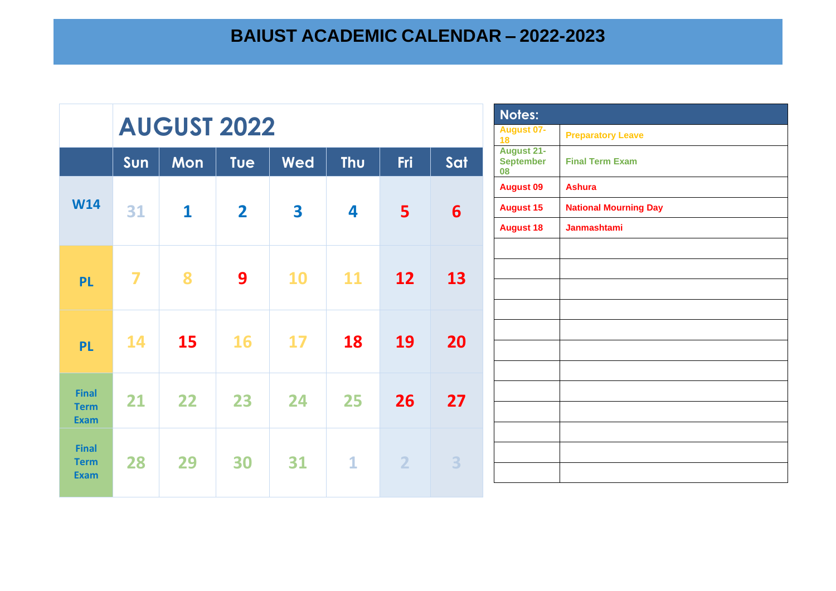|                             |                         |                    |                         |                         |              | Notes:         |                 |                                             |                              |
|-----------------------------|-------------------------|--------------------|-------------------------|-------------------------|--------------|----------------|-----------------|---------------------------------------------|------------------------------|
|                             |                         | <b>AUGUST 2022</b> |                         |                         |              |                |                 | <b>August 07-</b><br>18                     | <b>Preparatory Leave</b>     |
|                             | Sun                     | Mon                | <b>Tue</b>              | Wed                     | <b>Thu</b>   | Fri            | Sat             | <b>August 21-</b><br><b>September</b><br>08 | <b>Final Term Exam</b>       |
|                             |                         |                    |                         |                         |              |                |                 | <b>August 09</b>                            | <b>Ashura</b>                |
| <b>W14</b>                  | 31                      | $\mathbf{1}$       | $\overline{\mathbf{2}}$ | $\overline{\mathbf{3}}$ | 4            | 5              | $6\phantom{1}6$ | <b>August 15</b>                            | <b>National Mourning Day</b> |
|                             |                         |                    |                         |                         |              |                |                 | <b>August 18</b>                            | <b>Janmashtami</b>           |
|                             |                         |                    |                         |                         |              |                |                 |                                             |                              |
|                             | $\overline{\mathbf{z}}$ | 8                  | 9                       | <b>10</b>               | <b>11</b>    | 12             | 13              |                                             |                              |
| <b>PL</b>                   |                         |                    |                         |                         |              |                |                 |                                             |                              |
|                             |                         |                    |                         |                         |              |                |                 |                                             |                              |
|                             | 14                      | <b>15</b>          | <b>16</b>               | 17                      | <b>18</b>    | 19             | 20              |                                             |                              |
| <b>PL</b>                   |                         |                    |                         |                         |              |                |                 |                                             |                              |
|                             |                         |                    |                         |                         |              |                |                 |                                             |                              |
| <b>Final</b>                | 21                      | 22                 | 23                      | 24                      | 25           | 26             | 27              |                                             |                              |
| <b>Term</b><br><b>Exam</b>  |                         |                    |                         |                         |              |                |                 |                                             |                              |
|                             |                         |                    |                         |                         |              |                |                 |                                             |                              |
| <b>Final</b><br><b>Term</b> | 28                      | 29                 | 30                      | 31                      | $\mathbf{1}$ | $\overline{2}$ | 3               |                                             |                              |
| <b>Exam</b>                 |                         |                    |                         |                         |              |                |                 |                                             |                              |
|                             |                         |                    |                         |                         |              |                |                 |                                             |                              |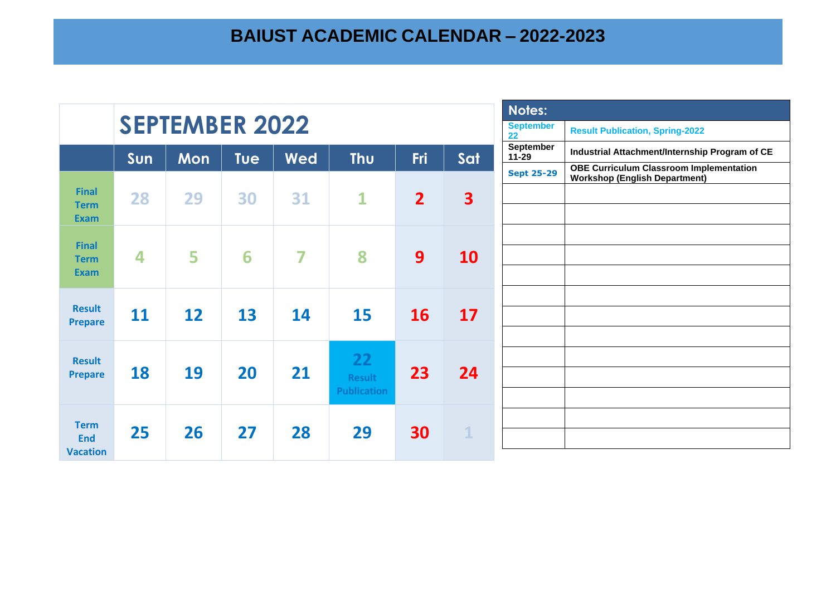|                                              | <b>SEPTEMBER 2022</b> |            |     |            |                                           |                |                         |  |  |  |
|----------------------------------------------|-----------------------|------------|-----|------------|-------------------------------------------|----------------|-------------------------|--|--|--|
|                                              | Sun                   | <b>Mon</b> | Tue | <b>Wed</b> | <b>Thu</b>                                | <b>Fri</b>     | Sat                     |  |  |  |
| <b>Final</b><br><b>Term</b><br><b>Exam</b>   | 28                    | 29         | 30  | 31         | $\overline{\mathbf{1}}$                   | $\overline{2}$ | $\overline{\mathbf{3}}$ |  |  |  |
| <b>Final</b><br><b>Term</b><br><b>Exam</b>   | 4                     | 5          | 6   | 7          | 8                                         | 9              | <b>10</b>               |  |  |  |
| <b>Result</b><br><b>Prepare</b>              | 11                    | 12         | 13  | 14         | 15                                        | <b>16</b>      | 17                      |  |  |  |
| <b>Result</b><br><b>Prepare</b>              | 18                    | 19         | 20  | 21         | 22<br><b>Result</b><br><b>Publication</b> | 23             | 24                      |  |  |  |
| <b>Term</b><br><b>End</b><br><b>Vacation</b> | 25                    | 26         | 27  | 28         | 29                                        | 30             | $\mathbf{1}$            |  |  |  |

| Notes:                        |                                                                                        |
|-------------------------------|----------------------------------------------------------------------------------------|
| <b>September</b><br><u>22</u> | <b>Result Publication, Spring-2022</b>                                                 |
| <b>September</b><br>$11 - 29$ | Industrial Attachment/Internship Program of CE                                         |
| <b>Sept 25-29</b>             | <b>OBE Curriculum Classroom Implementation</b><br><b>Workshop (English Department)</b> |
|                               |                                                                                        |
|                               |                                                                                        |
|                               |                                                                                        |
|                               |                                                                                        |
|                               |                                                                                        |
|                               |                                                                                        |
|                               |                                                                                        |
|                               |                                                                                        |
|                               |                                                                                        |
|                               |                                                                                        |
|                               |                                                                                        |
|                               |                                                                                        |
|                               |                                                                                        |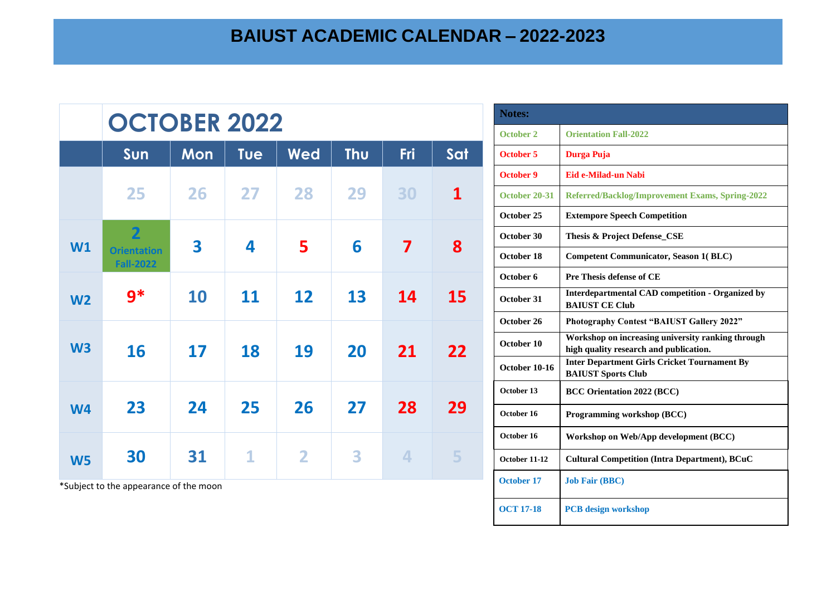|                | <b>OCTOBER 2022</b>                                      |     |             |                |            |                         |              |  |  |
|----------------|----------------------------------------------------------|-----|-------------|----------------|------------|-------------------------|--------------|--|--|
|                | Sun                                                      | Mon | Tue         | Wed            | <b>Thu</b> | Fri                     | Sat          |  |  |
|                | 25                                                       | 26  | 27          | 28             | 29         | 30                      | $\mathbf{1}$ |  |  |
| W1             | $\overline{2}$<br><b>Orientation</b><br><b>Fall-2022</b> | 3   | 4           | 5              | 6          | $\overline{\mathbf{7}}$ | 8            |  |  |
| W <sub>2</sub> | $9*$                                                     | 10  | 11          | 12             | 13         | 14                      | 15           |  |  |
| W <sub>3</sub> | 16                                                       | 17  | 18          | 19             | 20         | 21                      | 22           |  |  |
| <b>W4</b>      | 23                                                       | 24  | 25          | 26             | 27         | 28                      | 29           |  |  |
| W <sub>5</sub> | 30                                                       | 31  | $\mathbf 1$ | $\overline{2}$ | 3          | $\blacktriangleleft$    | 5            |  |  |

\*Subject to the appearance of the moon

| <b>Notes:</b>    |                                                                                             |
|------------------|---------------------------------------------------------------------------------------------|
| October 2        | <b>Orientation Fall-2022</b>                                                                |
| October 5        | Durga Puja                                                                                  |
| October 9        | Eid e-Milad-un Nabi                                                                         |
| October 20-31    | Referred/Backlog/Improvement Exams, Spring-2022                                             |
| October 25       | <b>Extempore Speech Competition</b>                                                         |
| October 30       | Thesis & Project Defense_CSE                                                                |
| October 18       | <b>Competent Communicator, Season 1(BLC)</b>                                                |
| October 6        | <b>Pre Thesis defense of CE</b>                                                             |
| October 31       | <b>Interdepartmental CAD competition - Organized by</b><br><b>BAIUST CE Club</b>            |
| October 26       | <b>Photography Contest "BAIUST Gallery 2022"</b>                                            |
| October 10       | Workshop on increasing university ranking through<br>high quality research and publication. |
| October 10-16    | <b>Inter Department Girls Cricket Tournament By</b><br><b>BAIUST Sports Club</b>            |
| October 13       | <b>BCC Orientation 2022 (BCC)</b>                                                           |
| October 16       | Programming workshop (BCC)                                                                  |
| October 16       | Workshop on Web/App development (BCC)                                                       |
| October 11-12    | <b>Cultural Competition (Intra Department), BCuC</b>                                        |
| October 17       | <b>Job Fair (BBC)</b>                                                                       |
| <b>OCT 17-18</b> | <b>PCB</b> design workshop                                                                  |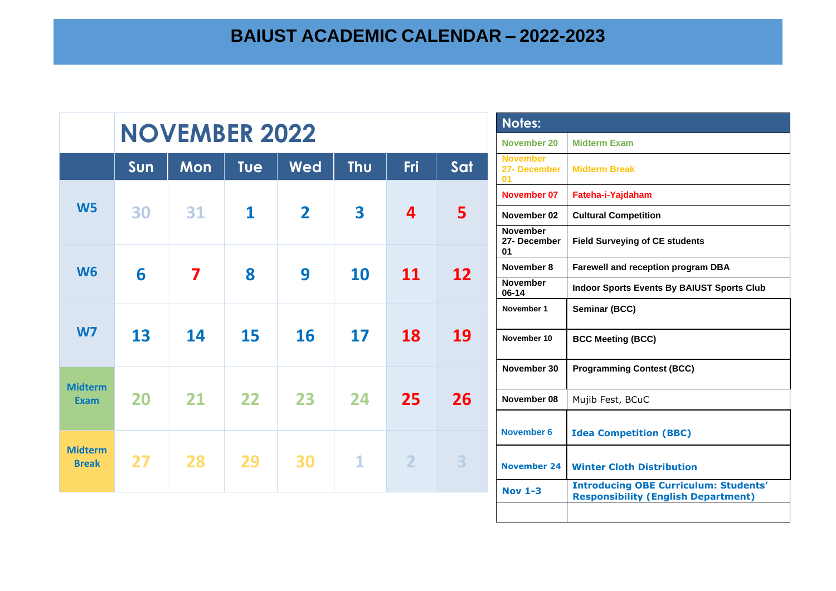|                                | <b>NOVEMBER 2022</b> |                                               |              |                |              |                |    |  |  |  |  |
|--------------------------------|----------------------|-----------------------------------------------|--------------|----------------|--------------|----------------|----|--|--|--|--|
|                                | Sun                  | Thu<br>Sat<br>Wed<br><b>Tue</b><br>Fri<br>Mon |              |                |              |                |    |  |  |  |  |
| W <sub>5</sub>                 | 30                   | 31                                            | $\mathbf{1}$ | $\overline{2}$ | 3            | $\overline{4}$ | 5  |  |  |  |  |
| <b>W6</b>                      | 6                    | 7                                             | 8            | 9              | 10           | 11             | 12 |  |  |  |  |
| <b>W7</b>                      | 13                   | 14                                            | 15           | 16             | 17           | 18             | 19 |  |  |  |  |
| <b>Midterm</b><br><b>Exam</b>  | 20                   | 21                                            | 22           | 23             | 24           | 25             | 26 |  |  |  |  |
| <b>Midterm</b><br><b>Break</b> | 27                   | 28                                            | 29           | 30             | $\mathbf{1}$ | $\overline{2}$ | 3  |  |  |  |  |

| Notes:                                |                                                                                            |
|---------------------------------------|--------------------------------------------------------------------------------------------|
| November 20                           | <b>Midterm Exam</b>                                                                        |
| <b>November</b><br>27- December<br>01 | <b>Midterm Break</b>                                                                       |
| November 07                           | Fateha-i-Yajdaham                                                                          |
| November 02                           | <b>Cultural Competition</b>                                                                |
| November<br>27- December<br>01        | <b>Field Surveying of CE students</b>                                                      |
| November 8                            | <b>Farewell and reception program DBA</b>                                                  |
| <b>November</b><br>06-14              | <b>Indoor Sports Events By BAIUST Sports Club</b>                                          |
| November 1                            | Seminar (BCC)                                                                              |
| November 10                           | <b>BCC Meeting (BCC)</b>                                                                   |
| November 30                           | <b>Programming Contest (BCC)</b>                                                           |
| November 08                           | Mujib Fest, BCuC                                                                           |
| November 6                            | <b>Idea Competition (BBC)</b>                                                              |
| <b>November 24</b>                    | <b>Winter Cloth Distribution</b>                                                           |
| <b>Nov 1-3</b>                        | <b>Introducing OBE Curriculum: Students'</b><br><b>Responsibility (English Department)</b> |
|                                       |                                                                                            |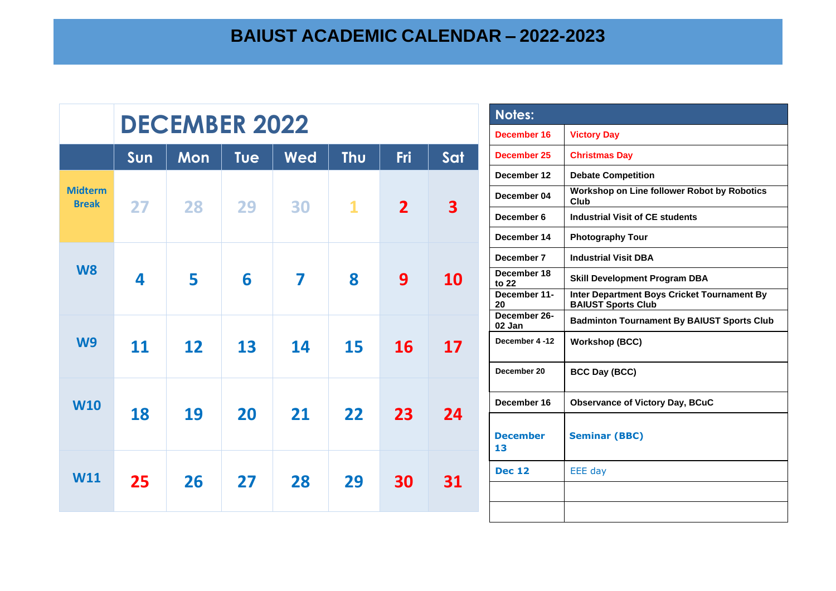|                                | <b>DECEMBER 2022</b> |     |     |     |              |                |                         |  |  |
|--------------------------------|----------------------|-----|-----|-----|--------------|----------------|-------------------------|--|--|
|                                | Sun                  | Mon | Tue | Wed | <b>Thu</b>   | Fri            | Sat                     |  |  |
| <b>Midterm</b><br><b>Break</b> | 27                   | 28  | 29  | 30  | $\mathbf{1}$ | $\overline{2}$ | $\overline{\mathbf{3}}$ |  |  |
| <b>W8</b>                      | 4                    | 5   | 6   | 7   | 8            | 9              | <b>10</b>               |  |  |
| W <sub>9</sub>                 | 11                   | 12  | 13  | 14  | 15           | 16             | 17                      |  |  |
| <b>W10</b>                     | 18                   | 19  | 20  | 21  | 22           | 23             | 24                      |  |  |
| <b>W11</b>                     | 25                   | 26  | 27  | 28  | 29           | 30             | 31                      |  |  |

| Notes:                 |                                                                          |
|------------------------|--------------------------------------------------------------------------|
| December 16            | <b>Victory Day</b>                                                       |
| December 25            | <b>Christmas Day</b>                                                     |
| December 12            | <b>Debate Competition</b>                                                |
| December 04            | Workshop on Line follower Robot by Robotics<br>Club                      |
| December 6             | <b>Industrial Visit of CE students</b>                                   |
| December 14            | <b>Photography Tour</b>                                                  |
| December 7             | <b>Industrial Visit DBA</b>                                              |
| December 18<br>to 22   | <b>Skill Development Program DBA</b>                                     |
| December 11-<br>20     | Inter Department Boys Cricket Tournament By<br><b>BAIUST Sports Club</b> |
| December 26-<br>02 Jan | <b>Badminton Tournament By BAIUST Sports Club</b>                        |
| December 4-12          | <b>Workshop (BCC)</b>                                                    |
| December 20            | <b>BCC Day (BCC)</b>                                                     |
| December 16            | <b>Observance of Victory Day, BCuC</b>                                   |
| <b>December</b><br>13  | <b>Seminar (BBC)</b>                                                     |
| <b>Dec 12</b>          | EEE day                                                                  |
|                        |                                                                          |
|                        |                                                                          |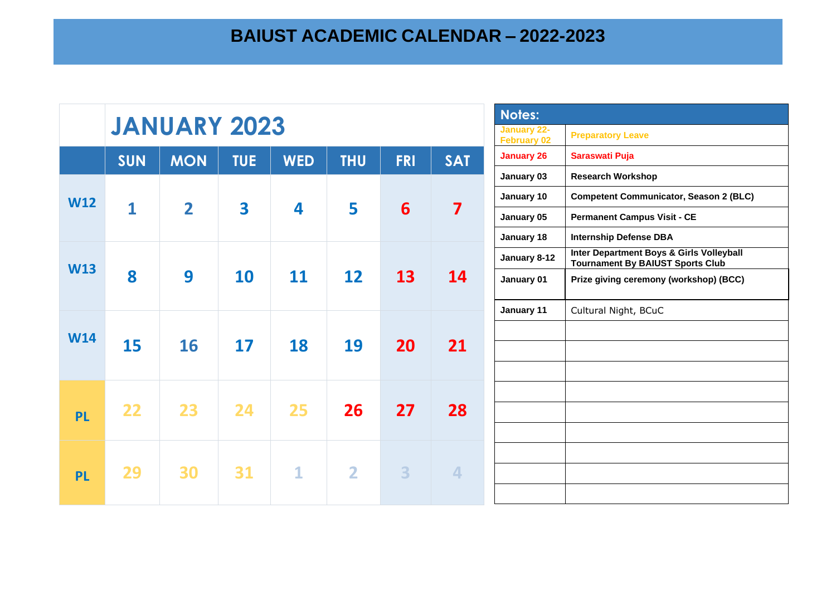|            | <b>JANUARY 2023</b> |                |                         |              |                |                                          |                          |                   | Notes:                                                                              |  |  |
|------------|---------------------|----------------|-------------------------|--------------|----------------|------------------------------------------|--------------------------|-------------------|-------------------------------------------------------------------------------------|--|--|
|            |                     |                |                         |              |                | <b>January 22-</b><br><b>February 02</b> | <b>Preparatory Leave</b> |                   |                                                                                     |  |  |
|            | <b>SUN</b>          | <b>MON</b>     | <b>TUE</b>              | <b>WED</b>   | <b>THU</b>     | <b>FRI</b>                               | <b>SAT</b>               | <b>January 26</b> | Saraswati Puja                                                                      |  |  |
|            |                     |                |                         |              |                |                                          |                          | January 03        | <b>Research Workshop</b>                                                            |  |  |
| <b>W12</b> |                     |                |                         |              |                |                                          |                          | January 10        | <b>Competent Communicator, Season 2 (BLC)</b>                                       |  |  |
|            | $\mathbf 1$         | $\overline{2}$ | $\overline{\mathbf{3}}$ | 4            | 5              | $6 \overline{6}$                         | $\overline{\mathbf{7}}$  | January 05        | <b>Permanent Campus Visit - CE</b>                                                  |  |  |
|            |                     |                |                         |              |                |                                          |                          | January 18        | <b>Internship Defense DBA</b>                                                       |  |  |
|            |                     |                |                         |              |                |                                          |                          | January 8-12      | Inter Department Boys & Girls Volleyball<br><b>Tournament By BAIUST Sports Club</b> |  |  |
| <b>W13</b> | 8                   | 9              | 10                      | 11           | 12             | 13                                       | <b>14</b>                | January 01        | Prize giving ceremony (workshop) (BCC)                                              |  |  |
|            |                     |                |                         |              |                |                                          |                          | January 11        | Cultural Night, BCuC                                                                |  |  |
| <b>W14</b> |                     |                |                         |              |                |                                          |                          |                   |                                                                                     |  |  |
|            | 15                  | <b>16</b>      | 17                      | 18           | 19             | 20                                       | 21                       |                   |                                                                                     |  |  |
|            |                     |                |                         |              |                |                                          |                          |                   |                                                                                     |  |  |
|            |                     |                |                         |              |                |                                          |                          |                   |                                                                                     |  |  |
| <b>PL</b>  | 22                  | 23             | 24                      | 25           | 26             | 27                                       | 28                       |                   |                                                                                     |  |  |
|            |                     |                |                         |              |                |                                          |                          |                   |                                                                                     |  |  |
|            |                     |                |                         |              |                |                                          |                          |                   |                                                                                     |  |  |
| <b>PL</b>  | 29                  | 30             | 31                      | $\mathbf{1}$ | $\overline{2}$ | 3                                        | $\overline{4}$           |                   |                                                                                     |  |  |
|            |                     |                |                         |              |                |                                          |                          |                   |                                                                                     |  |  |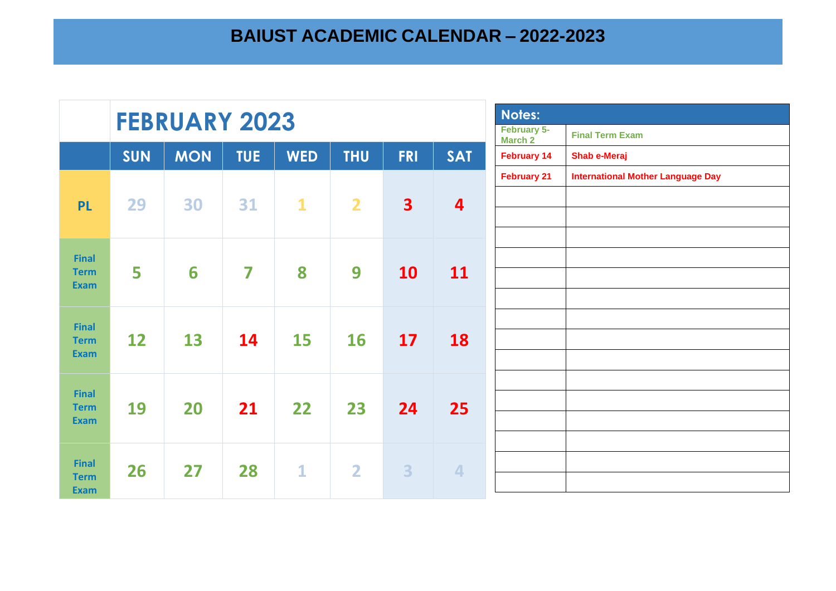|                             |            | <b>FEBRUARY 2023</b> |            |              | Notes:         |                         |                      |                                      |                                          |
|-----------------------------|------------|----------------------|------------|--------------|----------------|-------------------------|----------------------|--------------------------------------|------------------------------------------|
|                             |            |                      |            |              |                |                         |                      | <b>February 5-</b><br><b>March 2</b> | <b>Final Term Exam</b>                   |
|                             | <b>SUN</b> | <b>MON</b>           | <b>TUE</b> | <b>WED</b>   | <b>THU</b>     | <b>FRI</b>              | <b>SAT</b>           | <b>February 14</b>                   | <b>Shab e-Meraj</b>                      |
|                             |            |                      |            |              |                |                         |                      | <b>February 21</b>                   | <b>International Mother Language Day</b> |
| <b>PL</b>                   | 29         | 30                   | 31         | $\mathbf{1}$ | $\overline{2}$ | $\overline{\mathbf{3}}$ | 4                    |                                      |                                          |
|                             |            |                      |            |              |                |                         |                      |                                      |                                          |
|                             |            |                      |            |              |                |                         |                      |                                      |                                          |
| <b>Final</b>                |            |                      |            |              |                |                         |                      |                                      |                                          |
| <b>Term</b><br><b>Exam</b>  | 5          | 6                    | 7          | 8            | 9              | 10                      | 11                   |                                      |                                          |
|                             |            |                      |            |              |                |                         |                      |                                      |                                          |
| <b>Final</b>                |            |                      |            |              |                |                         |                      |                                      |                                          |
| <b>Term</b><br><b>Exam</b>  | 12         | 13                   | 14         | 15           | <b>16</b>      | 17                      | 18                   |                                      |                                          |
|                             |            |                      |            |              |                |                         |                      |                                      |                                          |
| <b>Final</b>                |            |                      |            |              |                |                         |                      |                                      |                                          |
| <b>Term</b>                 | 19         | 20                   | 21         | 22           | 23             | 24                      | 25                   |                                      |                                          |
| <b>Exam</b>                 |            |                      |            |              |                |                         |                      |                                      |                                          |
|                             |            |                      |            |              |                |                         |                      |                                      |                                          |
| <b>Final</b><br><b>Term</b> | 26         | 27                   | 28         | $\mathbf{1}$ | $\overline{2}$ | $\overline{\mathbf{3}}$ | $\blacktriangleleft$ |                                      |                                          |
| <b>Exam</b>                 |            |                      |            |              |                |                         |                      |                                      |                                          |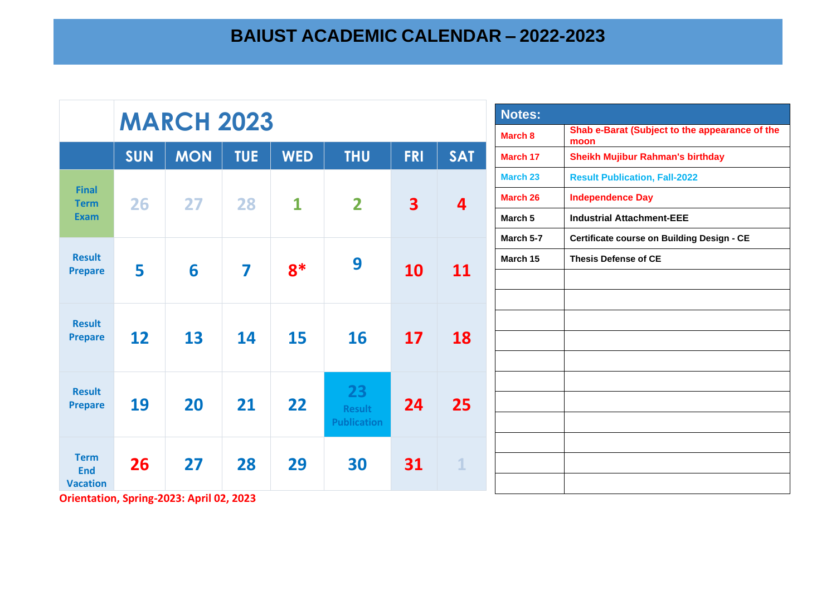|                             | <b>MARCH 2023</b> |            |            |                         |                    |                         |              |                 | Notes:                                                 |  |  |
|-----------------------------|-------------------|------------|------------|-------------------------|--------------------|-------------------------|--------------|-----------------|--------------------------------------------------------|--|--|
|                             |                   |            |            |                         |                    |                         |              |                 | Shab e-Barat (Subject to the appearance of the<br>moon |  |  |
|                             | <b>SUN</b>        | <b>MON</b> | <b>TUE</b> | <b>WED</b>              | <b>THU</b>         | <b>FRI</b>              | <b>SAT</b>   | <b>March 17</b> | <b>Sheikh Mujibur Rahman's birthday</b>                |  |  |
|                             |                   |            |            |                         |                    |                         |              | March 23        | <b>Result Publication, Fall-2022</b>                   |  |  |
| <b>Final</b><br><b>Term</b> | 26                | 27         | 28         | $\overline{\mathbf{1}}$ | $\overline{2}$     | $\overline{\mathbf{3}}$ | 4            | <b>March 26</b> | <b>Independence Day</b>                                |  |  |
| <b>Exam</b>                 |                   |            |            |                         |                    |                         |              | March 5         | <b>Industrial Attachment-EEE</b>                       |  |  |
|                             |                   |            |            |                         |                    |                         |              | March 5-7       | <b>Certificate course on Building Design - CE</b>      |  |  |
| <b>Result</b>               | 5                 | 6          | 7          | $8*$                    | 9                  |                         |              | March 15        | <b>Thesis Defense of CE</b>                            |  |  |
| <b>Prepare</b>              |                   |            |            |                         |                    | <b>10</b>               | <b>11</b>    |                 |                                                        |  |  |
|                             |                   |            |            |                         |                    |                         |              |                 |                                                        |  |  |
| <b>Result</b>               |                   |            |            |                         |                    |                         |              |                 |                                                        |  |  |
| <b>Prepare</b>              | 12                | 13         | 14         | 15                      | 16                 | 17                      | 18           |                 |                                                        |  |  |
|                             |                   |            |            |                         |                    |                         |              |                 |                                                        |  |  |
| <b>Result</b>               |                   |            |            |                         | 23                 |                         |              |                 |                                                        |  |  |
| <b>Prepare</b>              | 19                | 20         | 21         | 22                      | Result             | 24                      | 25           |                 |                                                        |  |  |
|                             |                   |            |            |                         | <b>Publication</b> |                         |              |                 |                                                        |  |  |
|                             |                   |            |            |                         |                    |                         |              |                 |                                                        |  |  |
| <b>Term</b><br><b>End</b>   | 26                | 27         | 28         | 29                      | 30                 | 31                      | $\mathbf{1}$ |                 |                                                        |  |  |
| <b>Vacation</b>             |                   |            |            |                         |                    |                         |              |                 |                                                        |  |  |

**Orientation, Spring-2023: April 02, 2023**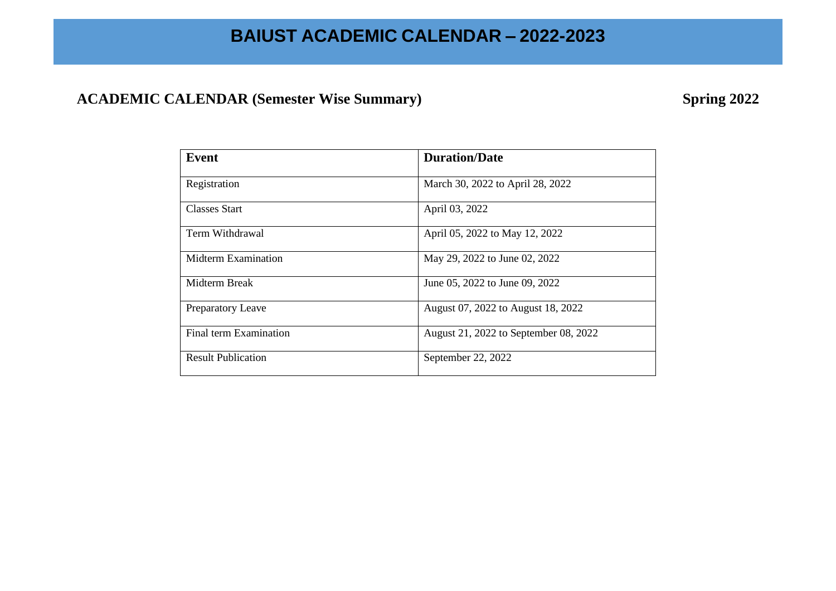#### **ACADEMIC CALENDAR (Semester Wise Summary) Spring 2022**

| <b>Event</b>              | <b>Duration/Date</b>                  |
|---------------------------|---------------------------------------|
| Registration              | March 30, 2022 to April 28, 2022      |
| <b>Classes Start</b>      | April 03, 2022                        |
| Term Withdrawal           | April 05, 2022 to May 12, 2022        |
| Midterm Examination       | May 29, 2022 to June 02, 2022         |
| Midterm Break             | June 05, 2022 to June 09, 2022        |
| Preparatory Leave         | August 07, 2022 to August 18, 2022    |
| Final term Examination    | August 21, 2022 to September 08, 2022 |
| <b>Result Publication</b> | September 22, 2022                    |